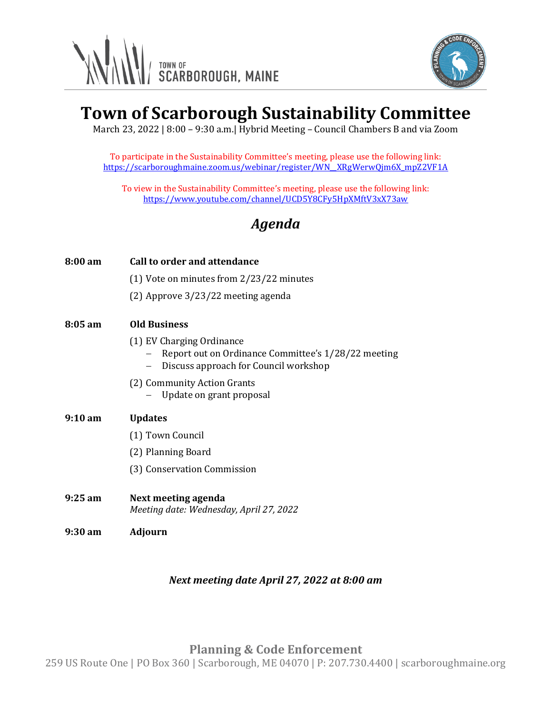



# **Town of Scarborough Sustainability Committee**

March 23, 2022 | 8:00 – 9:30 a.m.| Hybrid Meeting – Council Chambers B and via Zoom

To participate in the Sustainability Committee's meeting, please use the following link: [https://scarboroughmaine.zoom.us/webinar/register/WN\\_\\_XRgWerwQjm6X\\_mpZ2VF1A](https://scarboroughmaine.zoom.us/webinar/register/WN__XRgWerwQjm6X_mpZ2VF1A)

To view in the Sustainability Committee's meeting, please use the following link: <https://www.youtube.com/channel/UCD5Y8CFy5HpXMftV3xX73aw>

## *Agenda*

| 8:00 am           | Call to order and attendance                                                                                              |
|-------------------|---------------------------------------------------------------------------------------------------------------------------|
|                   | $(1)$ Vote on minutes from $2/23/22$ minutes                                                                              |
|                   | $(2)$ Approve 3/23/22 meeting agenda                                                                                      |
| $8:05 \text{ am}$ | <b>Old Business</b>                                                                                                       |
|                   | (1) EV Charging Ordinance<br>Report out on Ordinance Committee's 1/28/22 meeting<br>Discuss approach for Council workshop |
|                   | (2) Community Action Grants<br>Update on grant proposal                                                                   |
|                   |                                                                                                                           |
| $9:10 \text{ am}$ | <b>Updates</b>                                                                                                            |
|                   | (1) Town Council                                                                                                          |
|                   | (2) Planning Board                                                                                                        |
|                   | (3) Conservation Commission                                                                                               |
| $9:25$ am         | Next meeting agenda<br>Meeting date: Wednesday, April 27, 2022                                                            |

### *Next meeting date April 27, 2022 at 8:00 am*

**Planning & Code Enforcement**

259 US Route One | PO Box 360 | Scarborough, ME 04070 | P: 207.730.4400 | scarboroughmaine.org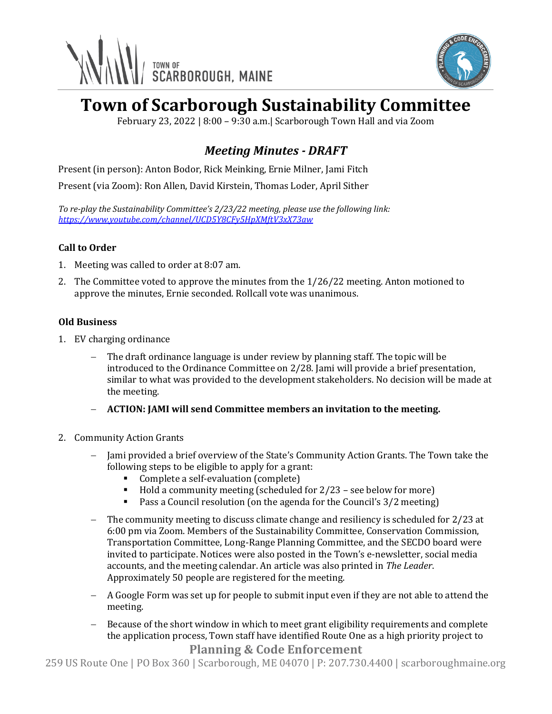



# **Town of Scarborough Sustainability Committee**

February 23, 2022 | 8:00 – 9:30 a.m.| Scarborough Town Hall and via Zoom

### *Meeting Minutes - DRAFT*

Present (in person): Anton Bodor, Rick Meinking, Ernie Milner, Jami Fitch

Present (via Zoom): Ron Allen, David Kirstein, Thomas Loder, April Sither

*To re-play the Sustainability Committee's 2/23/22 meeting, please use the following link: <https://www.youtube.com/channel/UCD5Y8CFy5HpXMftV3xX73aw>*

### **Call to Order**

- 1. Meeting was called to order at 8:07 am.
- 2. The Committee voted to approve the minutes from the 1/26/22 meeting. Anton motioned to approve the minutes, Ernie seconded. Rollcall vote was unanimous.

### **Old Business**

- 1. EV charging ordinance
	- − The draft ordinance language is under review by planning staff. The topic will be introduced to the Ordinance Committee on 2/28. Jami will provide a brief presentation, similar to what was provided to the development stakeholders. No decision will be made at the meeting.
	- − **ACTION: JAMI will send Committee members an invitation to the meeting.**
- 2. Community Action Grants
	- − Jami provided a brief overview of the State's Community Action Grants. The Town take the following steps to be eligible to apply for a grant:
		- Complete a self-evaluation (complete)
		- $\blacksquare$  Hold a community meeting (scheduled for 2/23 see below for more)
		- Pass a Council resolution (on the agenda for the Council's 3/2 meeting)
	- − The community meeting to discuss climate change and resiliency is scheduled for 2/23 at 6:00 pm via Zoom. Members of the Sustainability Committee, Conservation Commission, Transportation Committee, Long-Range Planning Committee, and the SECDO board were invited to participate. Notices were also posted in the Town's e-newsletter, social media accounts, and the meeting calendar. An article was also printed in *The Leader*. Approximately 50 people are registered for the meeting.
	- − A Google Form was set up for people to submit input even if they are not able to attend the meeting.
	- Because of the short window in which to meet grant eligibility requirements and complete the application process, Town staff have identified Route One as a high priority project to

### **Planning & Code Enforcement**

259 US Route One | PO Box 360 | Scarborough, ME 04070 | P: 207.730.4400 | scarboroughmaine.org